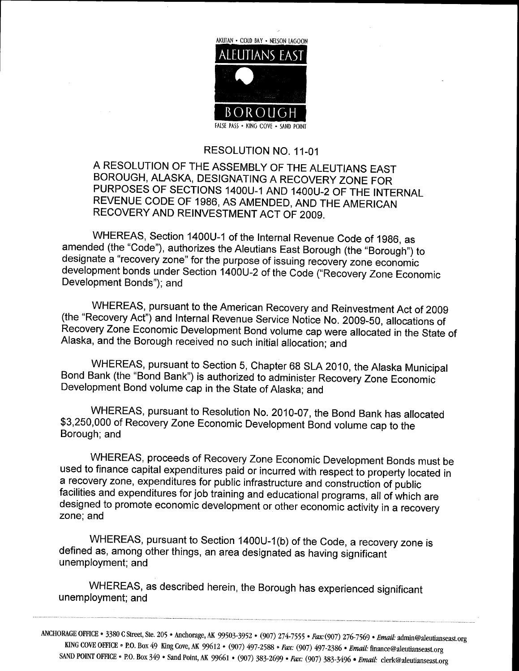

## RESOLUTION NO. 11-01

<sup>A</sup> RESOLUTION OF THE ASSEMBLY OF THE ALEUTIANS EAST BOROUGH, ALASKA, DESIGNATING A RECOVERY ZONE FOR PURPOSES OF SECTIONS 1400U-1 AND 1400U-2 OF THE INTERNAL REVENUE CODE OF 1986, AS AMENDED, AND THE AMERICAN RECOVERY AND REINVESTMENT ACT OF 2009

WHEREAS, Section 1400U-1 of the Internal Revenue Code of 1986, as amended (the "Code"), authorizes the Aleutians East Borough (the "Borough") to designate a "recovery zone" for the purpose of issuing recovery zone economic WHEREAS, Section 1400U-1 of the Internal Revenue Code of 1986, as<br>amended (the "Code"), authorizes the Aleutians East Borough (the "Borough") to<br>designate a "recovery zone" for the purpose of issuing recovery zone economic development bonds under Section 1400U-2 of the Code ("Recovery Zone Economic<br>Development Bonds"); and

WHEREAS pursuant to the American Recovery and Reinvestment Act of <sup>2009</sup> (the "Recovery Act") and Internal Revenue Service Notice No. 2009-50, allocations of Recovery Zone Economic Development Bond volume cap were allocated in the State of Alaska, and the Borough received no such initial allocation; and

WHEREAS, pursuant to Section 5, Chapter 68 SLA 2010, the Alaska Municipal Bond Bank (the "Bond Bank") is authorized to administer Recovery Zone Economic Development Bond volume cap in the State of Alaska; and

WHEREAS pursuant WHI<br>Bond Bank<br>Developme<br>WHI<br>\$3,250,000<br>Borough; a the three state of Alaska, and<br>to Resolution No. 2010-07, the Bond Bank has allocated<br>e Economic Development Bond volume can to the WHEREAS, pursuant to Resolution No. 2010-07, the Bond Bank has all<br>\$3,250,000 of Recovery Zone Economic Development Bond volume cap to the Borough; and

WHEREAS proceeds of Recovery Zone Economic Development Bonds must be used to finance capital expenditures paid or incurred with respect to property located in a recovery zone, expenditures for public infrastructure and construction of public<br>facilities and ovnapditures facials traini facilities and expenditures for job training and educational programs, all of which are designed to promote economic development or other economic activity in <sup>a</sup> recovery zone: and

WHEREAS, pursuant to Section 1400U-1(b) of the Code, a recovery zone is defined as, among other things, an area designated as having significant unemployment; and

WHEREAS, as described herein, the Borough has experienced significant unemployment; and

ANCHORAGE OFFICE • 3380 C Street, Ste. 205 • Anchorage, AK 99503-3952 • (907) 274-7555 • Fax: (907) 276-7569 • Email KING COVE OFFICE . P.O. Box 49 King Cove, AK 99612 . (907) 497-2588 . Fax: (907) 497-2386 . Email: admin@aleutianseast org SAND POINT OFFICE • P.O. Box 349 • Sand Point, AK 99603-3952 • (907) 274-7555 • Fax: (907) 276-7569 • Email: admin@aleutians<br>SAND POINT OFFICE • P.O. Box 349 • Sand Point, AK 99661 • (907) 383-2699 • Fax: (907) 383-3496 • • (907) 274-7555 • *Fax*: (907) 276-7569 • *Email*: admin@aleutiansea<br>7-2588 • *Fax: (*907) 497-2386 • *Email: finance@aleutianseast.org*<br>383-2699 • *Fax: (*907) 383-3496 • *Email: clerk@aleutianseast.org*